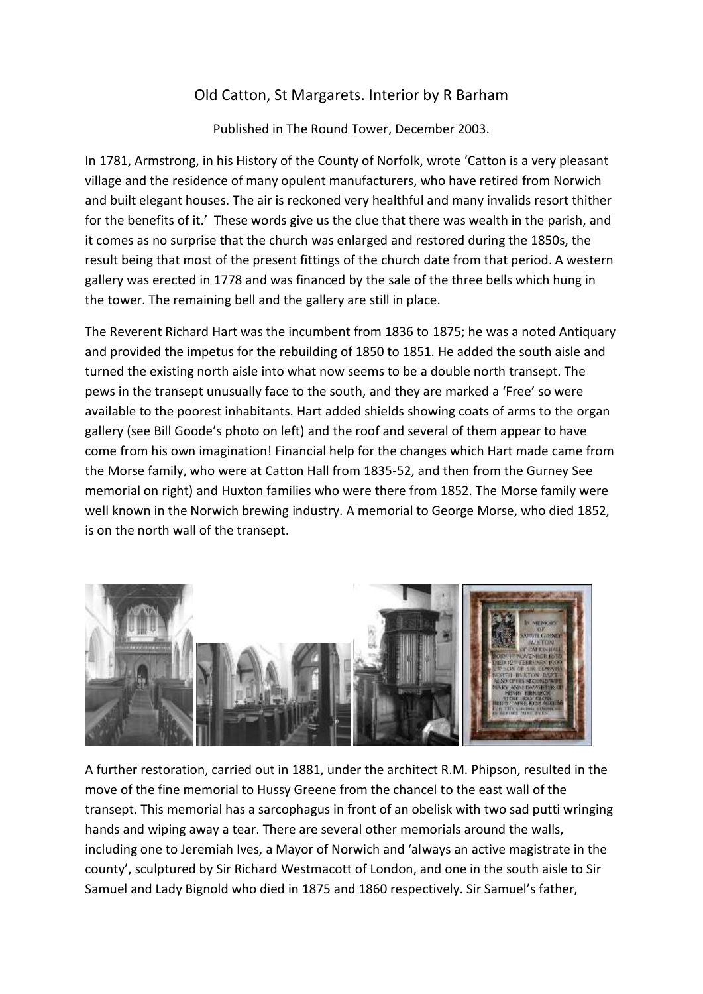## Old Catton, St Margarets. Interior by R Barham

Published in The Round Tower, December 2003.

In 1781, Armstrong, in his History of the County of Norfolk, wrote 'Catton is a very pleasant village and the residence of many opulent manufacturers, who have retired from Norwich and built elegant houses. The air is reckoned very healthful and many invalids resort thither for the benefits of it.' These words give us the clue that there was wealth in the parish, and it comes as no surprise that the church was enlarged and restored during the 1850s, the result being that most of the present fittings of the church date from that period. A western gallery was erected in 1778 and was financed by the sale of the three bells which hung in the tower. The remaining bell and the gallery are still in place.

The Reverent Richard Hart was the incumbent from 1836 to 1875; he was a noted Antiquary and provided the impetus for the rebuilding of 1850 to 1851. He added the south aisle and turned the existing north aisle into what now seems to be a double north transept. The pews in the transept unusually face to the south, and they are marked a 'Free' so were available to the poorest inhabitants. Hart added shields showing coats of arms to the organ gallery (see Bill Goode's photo on left) and the roof and several of them appear to have come from his own imagination! Financial help for the changes which Hart made came from the Morse family, who were at Catton Hall from 1835-52, and then from the Gurney See memorial on right) and Huxton families who were there from 1852. The Morse family were well known in the Norwich brewing industry. A memorial to George Morse, who died 1852, is on the north wall of the transept.



A further restoration, carried out in 1881, under the architect R.M. Phipson, resulted in the move of the fine memorial to Hussy Greene from the chancel to the east wall of the transept. This memorial has a sarcophagus in front of an obelisk with two sad putti wringing hands and wiping away a tear. There are several other memorials around the walls, including one to Jeremiah Ives, a Mayor of Norwich and 'always an active magistrate in the county', sculptured by Sir Richard Westmacott of London, and one in the south aisle to Sir Samuel and Lady Bignold who died in 1875 and 1860 respectively. Sir Samuel's father,